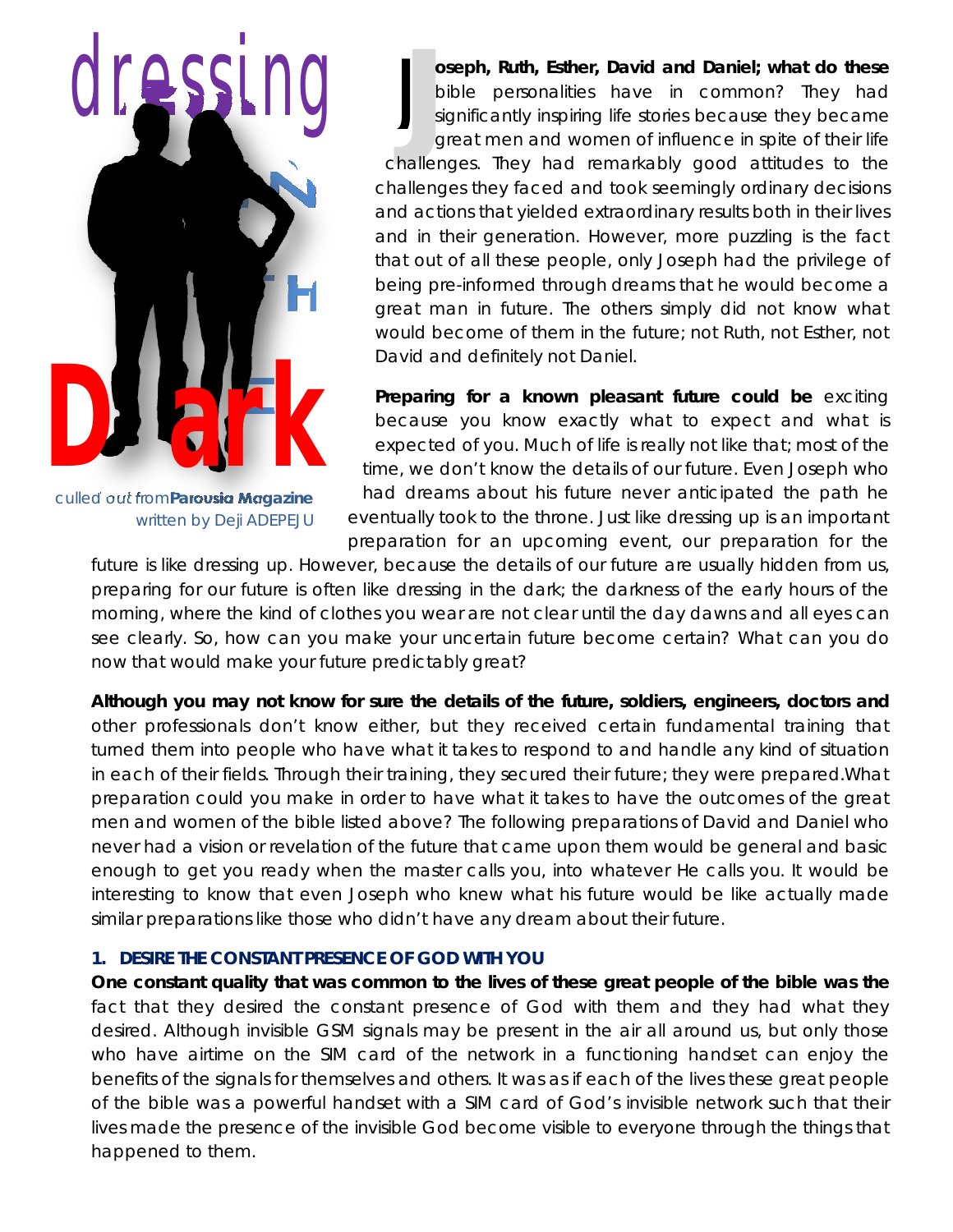

*culled out fromParousia Magazine* written by Deji ADEPEJU

**Joseph, Ruth, Esther, David and Daniel; what do these**<br>bible personalities have in common? They had<br>significantly inspiring life stories because they became<br>great men and women of influence in spite of their life<br>challeng **oseph, Ruth, Esther, David and Daniel; what do these** bible personalities have in common? They had significantly inspiring life stories because they became great men and women of influence in spite of their life challenges they faced and took seemingly ordinary decisions and actions that yielded extraordinary results both in their lives and in their generation. However, more puzzling is the fact that out of all these people, only Joseph had the privilege of being pre-informed through dreams that he would become a great man in future. The others simply did not know what would become of them in the future; not Ruth, not Esther, not David and definitely not Daniel. J

**Preparing for a known pleasant future could be** exciting because you know exactly what to expect and what is expected of you. Much of life is really not like that; most of the time, we don't know the details of our future. Even Joseph who had dreams about his future never anticipated the path he eventually took to the throne. Just like dressing up is an important preparation for an upcoming event, our preparation for the

future is like dressing up. However, because the details of our future are usually hidden from us, preparing for our future is often like dressing in the dark; the darkness of the early hours of the morning, where the kind of clothes you wear are not clear until the day dawns and all eyes can see clearly. So, how can you make your uncertain future become certain? What can you do now that would make your future predictably great?

**Although you may not know for sure the details of the future, soldiers, engineers, doctors and** other professionals don't know either, but they received certain fundamental training that turned them into people who have what it takes to respond to and handle any kind of situation in each of their fields. Through their training, they secured their future; they were prepared.What preparation could you make in order to have what it takes to have the outcomes of the great men and women of the bible listed above? The following preparations of David and Daniel who never had a vision or revelation of the future that came upon them would be general and basic enough to get you ready when the master calls you, into whatever He calls you. It would be interesting to know that even Joseph who knew what his future would be like actually made similar preparations like those who didn't have any dream about their future.

### **1. DESIRE THE CONSTANT PRESENCE OF GOD WITH YOU**

**One constant quality that was common to the lives of these great people of the bible was the** fact that they desired the constant presence of God with them and they had what they desired. Although invisible GSM signals may be present in the air all around us, but only those who have airtime on the SIM card of the network in a functioning handset can enjoy the benefits of the signals for themselves and others. It was as if each of the lives these great people of the bible was a powerful handset with a SIM card of God's invisible network such that their lives made the presence of the invisible God become visible to everyone through the things that happened to them.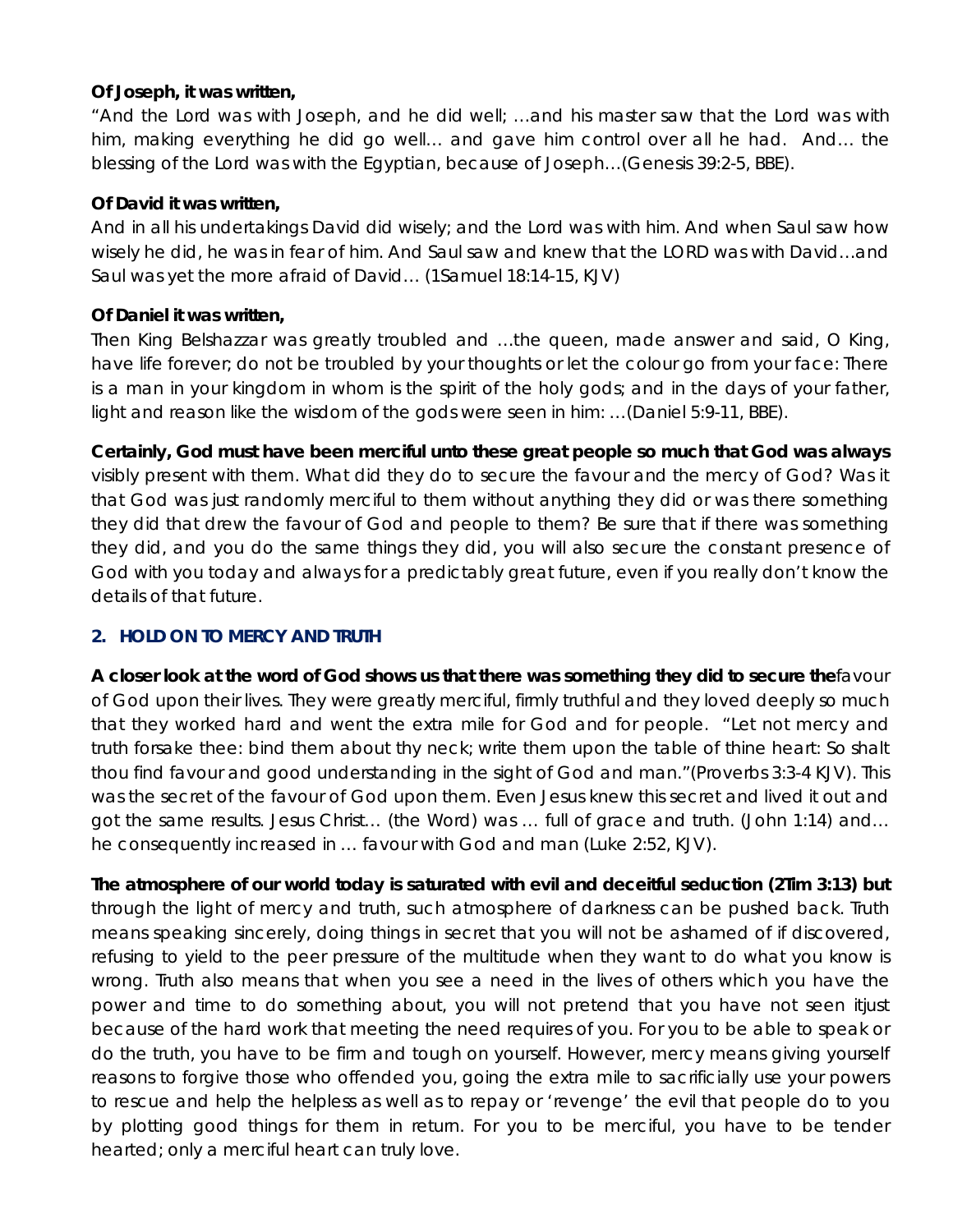### **Of Joseph, it was written,**

"*And the Lord was with Joseph, and he did well; …and his master saw that the Lord was with him, making everything he did go well… and gave him control over all he had. And… the blessing of the Lord was with the Egyptian, because of Joseph…*(Genesis 39:2-5, BBE).

## **Of David it was written,**

*And* in *all his undertakings David did wisely; and the Lord was with him. And when Saul saw how*  wisely he did, he was in fear of him. And Saul saw and knew that the LORD was with David…and *Saul was yet the more afraid of David…* (1Samuel 18:14-15, KJV)

## **Of Daniel it was written,**

*Then King Belshazzar was greatly troubled and …the queen, made answer and said, O King,*  have life forever; do not be troubled by your thoughts or let the colour go from your face: There is a man in your kingdom in whom is the spirit of the holy gods; and in the days of your father, *light and reason like the wisdom of the gods were seen in him: …*(Daniel 5:9-11, BBE).

**Certainly, God must have been merciful unto these great people so much that God was always** visibly present with them. What did they do to secure the favour and the mercy of God? Was it that God was just randomly merciful to them without anything they did or was there something they did that drew the favour of God and people to them? Be sure that if there was something they did, and you do the same things they did, you will also secure the constant presence of God with you today and always for a predictably great future, even if you really don't know the details of that future.

# **2. HOLD ON TO MERCY AND TRUTH**

**A closer look at the word of God shows us that there was something they did to secure the**favour of God upon their lives. They were greatly merciful, firmly truthful and they loved deeply so much that they worked hard and went the extra mile for God and for people. "Let not mercy and truth forsake thee: bind them about thy neck; write them upon the table of thine heart: So shalt thou find favour and good understanding in the sight of God and man."(Proverbs 3:3-4 KJV). This was the secret of the favour of God upon them. Even Jesus knew this secret and lived it out and got the same results. Jesus Christ… (the Word) was … full of grace and truth. (John 1:14) and… he consequently increased in … favour with God and man (Luke 2:52, KJV).

**The atmosphere of our world today is saturated with evil and deceitful seduction (2Tim 3:13) but** through the light of mercy and truth, such atmosphere of darkness can be pushed back. Truth means speaking sincerely, doing things in secret that you will not be ashamed of if discovered, refusing to yield to the peer pressure of the multitude when they want to do what you know is wrong. Truth also means that when you see a need in the lives of others which you have the power and time to do something about, you will not pretend that you have not seen itjust because of the hard work that meeting the need requires of you. For you to be able to speak or do the truth, you have to be firm and tough on yourself. However, mercy means giving yourself reasons to forgive those who offended you, going the extra mile to sacrificially use your powers to rescue and help the helpless as well as to repay or 'revenge' the evil that people do to you by plotting good things for them in return. For you to be merciful, you have to be tender hearted; only a merciful heart can truly love.